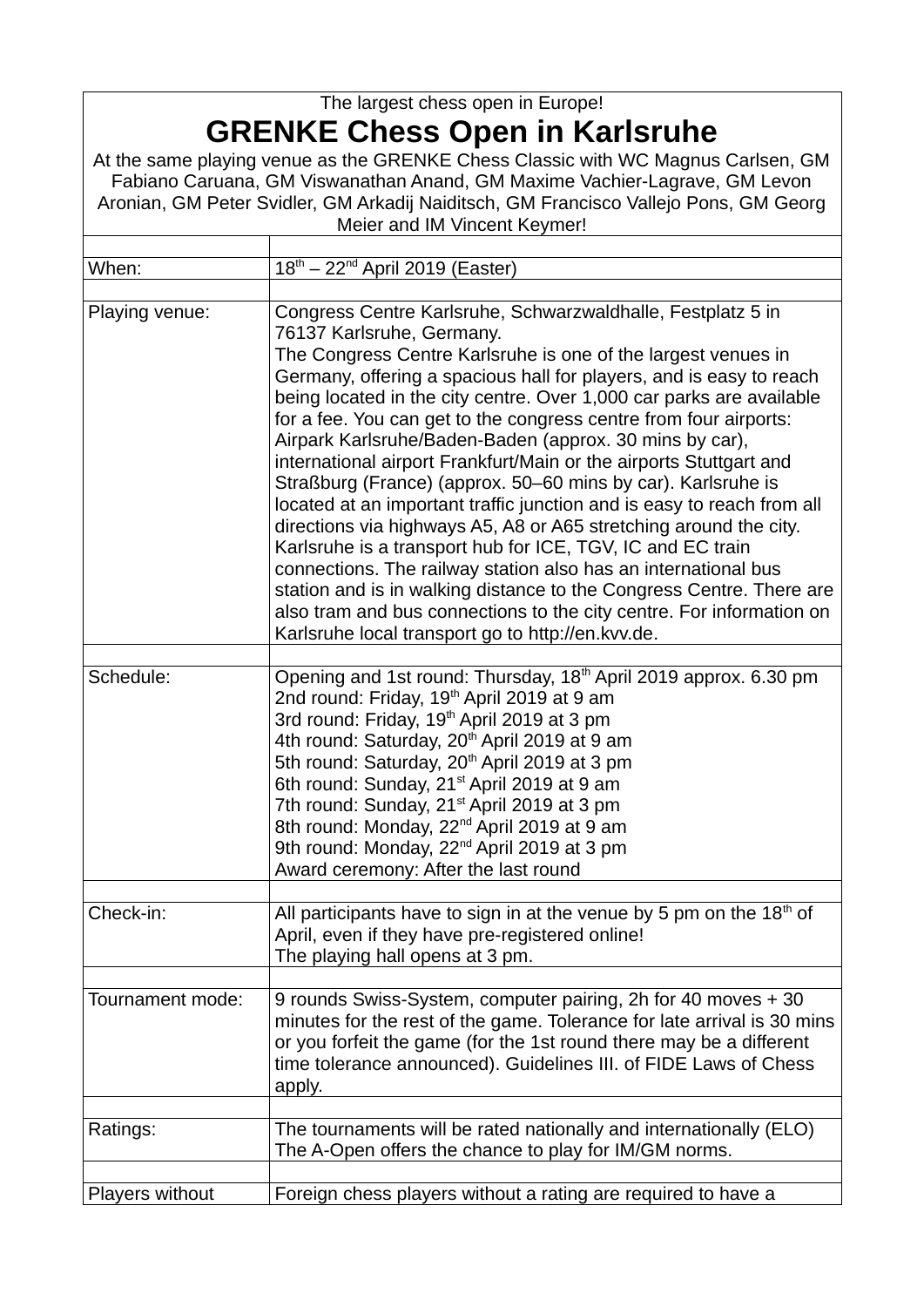## The largest chess open in Europe! **GRENKE Chess Open in Karlsruhe**

At the same playing venue as the GRENKE Chess Classic with WC Magnus Carlsen, GM Fabiano Caruana, GM Viswanathan Anand, GM Maxime Vachier-Lagrave, GM Levon Aronian, GM Peter Svidler, GM Arkadij Naiditsch, GM Francisco Vallejo Pons, GM Georg Meier and IM Vincent Keymer!

| When:            | $18th - 22nd$ April 2019 (Easter)                                                                                                                                                                                                                                                                                                                                                                                                                                                                                                                                                                                                                                                                                                                                                                                                                                                                                                                                                                                                                                  |
|------------------|--------------------------------------------------------------------------------------------------------------------------------------------------------------------------------------------------------------------------------------------------------------------------------------------------------------------------------------------------------------------------------------------------------------------------------------------------------------------------------------------------------------------------------------------------------------------------------------------------------------------------------------------------------------------------------------------------------------------------------------------------------------------------------------------------------------------------------------------------------------------------------------------------------------------------------------------------------------------------------------------------------------------------------------------------------------------|
|                  |                                                                                                                                                                                                                                                                                                                                                                                                                                                                                                                                                                                                                                                                                                                                                                                                                                                                                                                                                                                                                                                                    |
| Playing venue:   | Congress Centre Karlsruhe, Schwarzwaldhalle, Festplatz 5 in<br>76137 Karlsruhe, Germany.<br>The Congress Centre Karlsruhe is one of the largest venues in<br>Germany, offering a spacious hall for players, and is easy to reach<br>being located in the city centre. Over 1,000 car parks are available<br>for a fee. You can get to the congress centre from four airports:<br>Airpark Karlsruhe/Baden-Baden (approx. 30 mins by car),<br>international airport Frankfurt/Main or the airports Stuttgart and<br>Straßburg (France) (approx. 50–60 mins by car). Karlsruhe is<br>located at an important traffic junction and is easy to reach from all<br>directions via highways A5, A8 or A65 stretching around the city.<br>Karlsruhe is a transport hub for ICE, TGV, IC and EC train<br>connections. The railway station also has an international bus<br>station and is in walking distance to the Congress Centre. There are<br>also tram and bus connections to the city centre. For information on<br>Karlsruhe local transport go to http://en.kvv.de. |
| Schedule:        | Opening and 1st round: Thursday, 18 <sup>th</sup> April 2019 approx. 6.30 pm<br>2nd round: Friday, 19 <sup>th</sup> April 2019 at 9 am<br>3rd round: Friday, 19 <sup>th</sup> April 2019 at 3 pm<br>4th round: Saturday, 20 <sup>th</sup> April 2019 at 9 am<br>5th round: Saturday, 20 <sup>th</sup> April 2019 at 3 pm<br>6th round: Sunday, 21 <sup>st</sup> April 2019 at 9 am<br>7th round: Sunday, 21 <sup>st</sup> April 2019 at 3 pm<br>8th round: Monday, 22 <sup>nd</sup> April 2019 at 9 am<br>9th round: Monday, 22 <sup>nd</sup> April 2019 at 3 pm<br>Award ceremony: After the last round                                                                                                                                                                                                                                                                                                                                                                                                                                                           |
| Check-in:        | All participants have to sign in at the venue by 5 pm on the 18th of<br>April, even if they have pre-registered online!<br>The playing hall opens at 3 pm.                                                                                                                                                                                                                                                                                                                                                                                                                                                                                                                                                                                                                                                                                                                                                                                                                                                                                                         |
| Tournament mode: | 9 rounds Swiss-System, computer pairing, 2h for 40 moves + 30<br>minutes for the rest of the game. Tolerance for late arrival is 30 mins<br>or you forfeit the game (for the 1st round there may be a different<br>time tolerance announced). Guidelines III. of FIDE Laws of Chess<br>apply.                                                                                                                                                                                                                                                                                                                                                                                                                                                                                                                                                                                                                                                                                                                                                                      |
| Ratings:         | The tournaments will be rated nationally and internationally (ELO)<br>The A-Open offers the chance to play for IM/GM norms.                                                                                                                                                                                                                                                                                                                                                                                                                                                                                                                                                                                                                                                                                                                                                                                                                                                                                                                                        |
|                  |                                                                                                                                                                                                                                                                                                                                                                                                                                                                                                                                                                                                                                                                                                                                                                                                                                                                                                                                                                                                                                                                    |
| Players without  | Foreign chess players without a rating are required to have a                                                                                                                                                                                                                                                                                                                                                                                                                                                                                                                                                                                                                                                                                                                                                                                                                                                                                                                                                                                                      |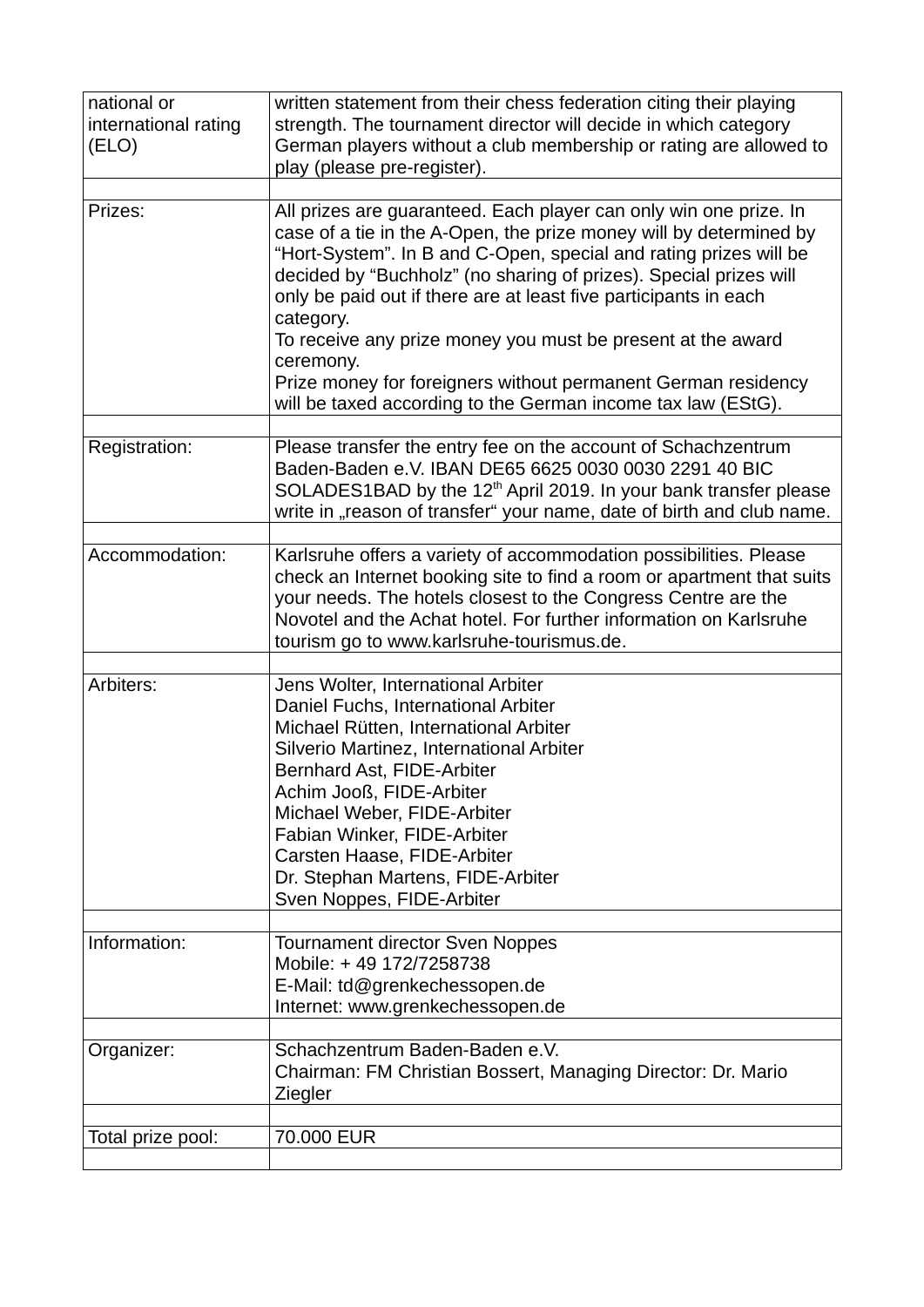| national or          | written statement from their chess federation citing their playing                                                                                                                                                                                                                                                                                                                                                                                                                                                                                                              |
|----------------------|---------------------------------------------------------------------------------------------------------------------------------------------------------------------------------------------------------------------------------------------------------------------------------------------------------------------------------------------------------------------------------------------------------------------------------------------------------------------------------------------------------------------------------------------------------------------------------|
| international rating | strength. The tournament director will decide in which category<br>German players without a club membership or rating are allowed to                                                                                                                                                                                                                                                                                                                                                                                                                                            |
| (ELO)                | play (please pre-register).                                                                                                                                                                                                                                                                                                                                                                                                                                                                                                                                                     |
|                      |                                                                                                                                                                                                                                                                                                                                                                                                                                                                                                                                                                                 |
| Prizes:              | All prizes are guaranteed. Each player can only win one prize. In<br>case of a tie in the A-Open, the prize money will by determined by<br>"Hort-System". In B and C-Open, special and rating prizes will be<br>decided by "Buchholz" (no sharing of prizes). Special prizes will<br>only be paid out if there are at least five participants in each<br>category.<br>To receive any prize money you must be present at the award<br>ceremony.<br>Prize money for foreigners without permanent German residency<br>will be taxed according to the German income tax law (EStG). |
| Registration:        | Please transfer the entry fee on the account of Schachzentrum                                                                                                                                                                                                                                                                                                                                                                                                                                                                                                                   |
|                      | Baden-Baden e.V. IBAN DE65 6625 0030 0030 2291 40 BIC<br>SOLADES1BAD by the $12th$ April 2019. In your bank transfer please                                                                                                                                                                                                                                                                                                                                                                                                                                                     |
|                      | write in "reason of transfer" your name, date of birth and club name.                                                                                                                                                                                                                                                                                                                                                                                                                                                                                                           |
| Accommodation:       | Karlsruhe offers a variety of accommodation possibilities. Please<br>check an Internet booking site to find a room or apartment that suits<br>your needs. The hotels closest to the Congress Centre are the<br>Novotel and the Achat hotel. For further information on Karlsruhe<br>tourism go to www.karlsruhe-tourismus.de.                                                                                                                                                                                                                                                   |
|                      |                                                                                                                                                                                                                                                                                                                                                                                                                                                                                                                                                                                 |
| Arbiters:            | Jens Wolter, International Arbiter<br>Daniel Fuchs, International Arbiter<br>Michael Rütten, International Arbiter<br>Silverio Martinez, International Arbiter<br>Bernhard Ast, FIDE-Arbiter<br>Achim Jooß, FIDE-Arbiter<br>Michael Weber, FIDE-Arbiter<br>Fabian Winker, FIDE-Arbiter<br>Carsten Haase, FIDE-Arbiter<br>Dr. Stephan Martens, FIDE-Arbiter<br>Sven Noppes, FIDE-Arbiter                                                                                                                                                                                         |
| Information:         | <b>Tournament director Sven Noppes</b><br>Mobile: +49 172/7258738<br>E-Mail: td@grenkechessopen.de<br>Internet: www.grenkechessopen.de                                                                                                                                                                                                                                                                                                                                                                                                                                          |
|                      |                                                                                                                                                                                                                                                                                                                                                                                                                                                                                                                                                                                 |
| Organizer:           | Schachzentrum Baden-Baden e.V.<br>Chairman: FM Christian Bossert, Managing Director: Dr. Mario<br>Ziegler                                                                                                                                                                                                                                                                                                                                                                                                                                                                       |
| Total prize pool:    | 70.000 EUR                                                                                                                                                                                                                                                                                                                                                                                                                                                                                                                                                                      |
|                      |                                                                                                                                                                                                                                                                                                                                                                                                                                                                                                                                                                                 |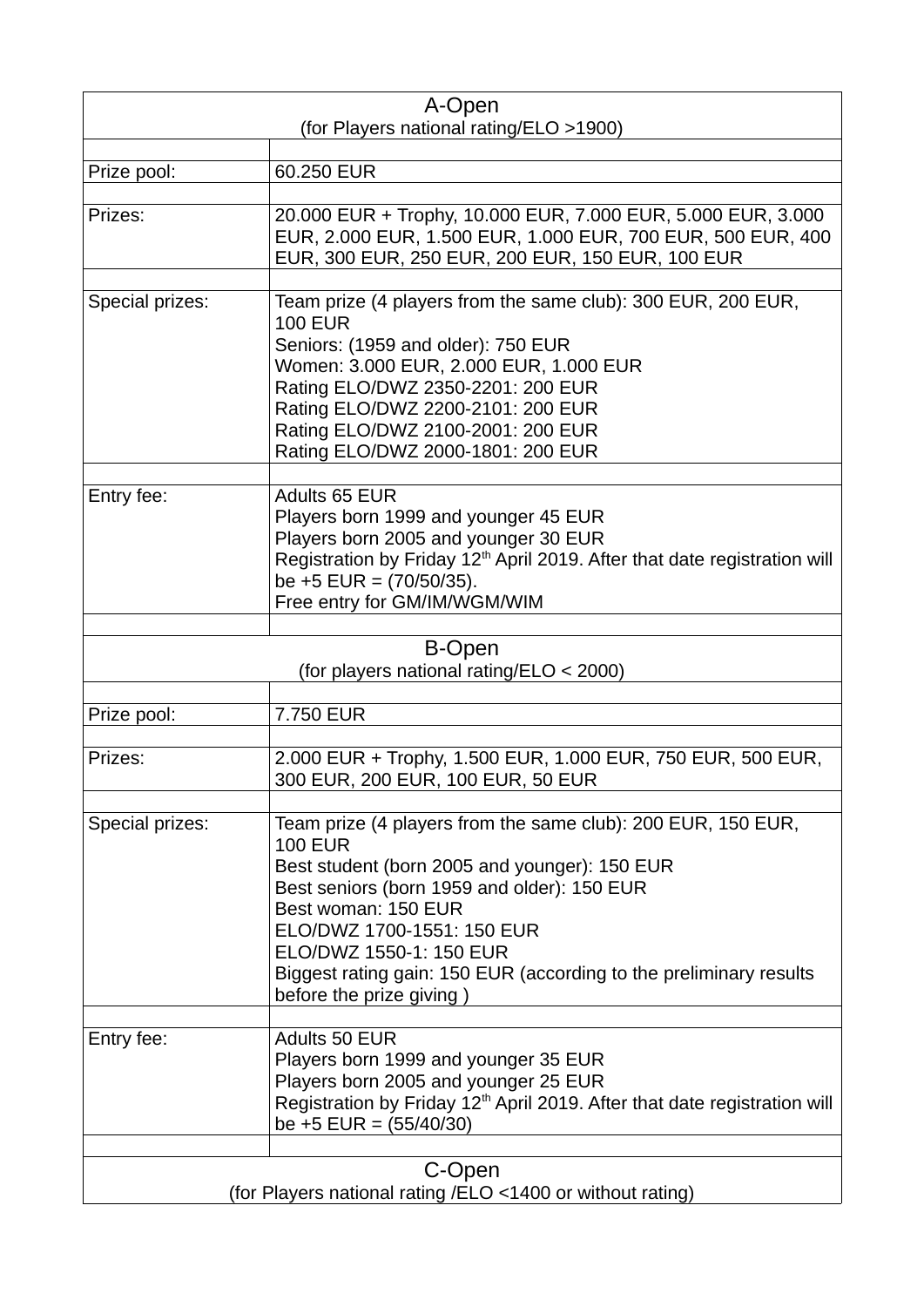| A-Open                                                               |                                                                                                                                                                                                                                                                                                                                                                  |  |
|----------------------------------------------------------------------|------------------------------------------------------------------------------------------------------------------------------------------------------------------------------------------------------------------------------------------------------------------------------------------------------------------------------------------------------------------|--|
| (for Players national rating/ELO >1900)                              |                                                                                                                                                                                                                                                                                                                                                                  |  |
| Prize pool:                                                          | 60.250 EUR                                                                                                                                                                                                                                                                                                                                                       |  |
| Prizes:                                                              | 20.000 EUR + Trophy, 10.000 EUR, 7.000 EUR, 5.000 EUR, 3.000<br>EUR, 2.000 EUR, 1.500 EUR, 1.000 EUR, 700 EUR, 500 EUR, 400<br>EUR, 300 EUR, 250 EUR, 200 EUR, 150 EUR, 100 EUR                                                                                                                                                                                  |  |
| Special prizes:                                                      | Team prize (4 players from the same club): 300 EUR, 200 EUR,<br><b>100 EUR</b><br>Seniors: (1959 and older): 750 EUR<br>Women: 3.000 EUR, 2.000 EUR, 1.000 EUR<br>Rating ELO/DWZ 2350-2201: 200 EUR<br>Rating ELO/DWZ 2200-2101: 200 EUR<br>Rating ELO/DWZ 2100-2001: 200 EUR<br>Rating ELO/DWZ 2000-1801: 200 EUR                                               |  |
| Entry fee:                                                           | Adults 65 EUR<br>Players born 1999 and younger 45 EUR<br>Players born 2005 and younger 30 EUR<br>Registration by Friday 12 <sup>th</sup> April 2019. After that date registration will<br>be $+5$ EUR = (70/50/35).<br>Free entry for GM/IM/WGM/WIM                                                                                                              |  |
|                                                                      | <b>B-Open</b><br>(for players national rating/ELO < 2000)                                                                                                                                                                                                                                                                                                        |  |
| Prize pool:                                                          | 7.750 EUR                                                                                                                                                                                                                                                                                                                                                        |  |
|                                                                      |                                                                                                                                                                                                                                                                                                                                                                  |  |
| Prizes:                                                              | 2.000 EUR + Trophy, 1.500 EUR, 1.000 EUR, 750 EUR, 500 EUR,<br>300 EUR, 200 EUR, 100 EUR, 50 EUR                                                                                                                                                                                                                                                                 |  |
| Special prizes:                                                      | Team prize (4 players from the same club): 200 EUR, 150 EUR,<br><b>100 EUR</b><br>Best student (born 2005 and younger): 150 EUR<br>Best seniors (born 1959 and older): 150 EUR<br>Best woman: 150 EUR<br>ELO/DWZ 1700-1551: 150 EUR<br>ELO/DWZ 1550-1: 150 EUR<br>Biggest rating gain: 150 EUR (according to the preliminary results<br>before the prize giving) |  |
| Entry fee:                                                           | <b>Adults 50 EUR</b><br>Players born 1999 and younger 35 EUR<br>Players born 2005 and younger 25 EUR<br>Registration by Friday 12 <sup>th</sup> April 2019. After that date registration will<br>be $+5$ EUR = $(55/40/30)$                                                                                                                                      |  |
| C-Open<br>(for Players national rating /ELO <1400 or without rating) |                                                                                                                                                                                                                                                                                                                                                                  |  |